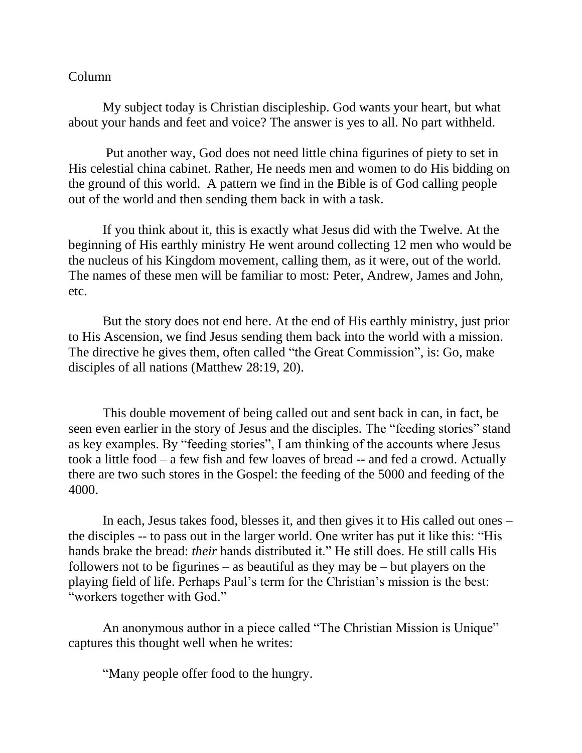## Column

My subject today is Christian discipleship. God wants your heart, but what about your hands and feet and voice? The answer is yes to all. No part withheld.

Put another way, God does not need little china figurines of piety to set in His celestial china cabinet. Rather, He needs men and women to do His bidding on the ground of this world. A pattern we find in the Bible is of God calling people out of the world and then sending them back in with a task.

If you think about it, this is exactly what Jesus did with the Twelve. At the beginning of His earthly ministry He went around collecting 12 men who would be the nucleus of his Kingdom movement, calling them, as it were, out of the world. The names of these men will be familiar to most: Peter, Andrew, James and John, etc.

But the story does not end here. At the end of His earthly ministry, just prior to His Ascension, we find Jesus sending them back into the world with a mission. The directive he gives them, often called "the Great Commission", is: Go, make disciples of all nations (Matthew 28:19, 20).

This double movement of being called out and sent back in can, in fact, be seen even earlier in the story of Jesus and the disciples. The "feeding stories" stand as key examples. By "feeding stories", I am thinking of the accounts where Jesus took a little food – a few fish and few loaves of bread -- and fed a crowd. Actually there are two such stores in the Gospel: the feeding of the 5000 and feeding of the 4000.

In each, Jesus takes food, blesses it, and then gives it to His called out ones – the disciples -- to pass out in the larger world. One writer has put it like this: "His hands brake the bread: *their* hands distributed it." He still does. He still calls His followers not to be figurines – as beautiful as they may be – but players on the playing field of life. Perhaps Paul's term for the Christian's mission is the best: "workers together with God."

An anonymous author in a piece called "The Christian Mission is Unique" captures this thought well when he writes:

"Many people offer food to the hungry.